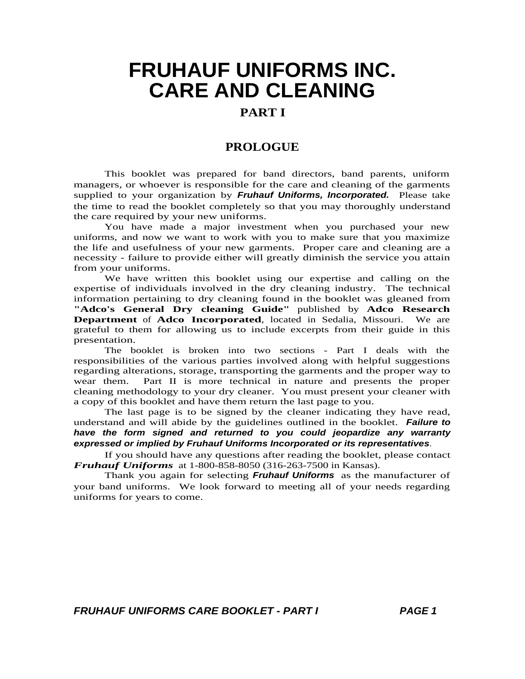### **PART I**

### **PROLOGUE**

This booklet was prepared for band directors, band parents, uniform managers, or whoever is responsible for the care and cleaning of the garments supplied to your organization by **Fruhauf Uniforms, Incorporated.** Please take the time to read the booklet completely so that you may thoroughly understand the care required by your new uniforms.

You have made a major investment when you purchased your new uniforms, and now we want to work with you to make sure that you maximize the life and usefulness of your new garments. Proper care and cleaning are a necessity - failure to provide either will greatly diminish the service you attain from your uniforms.

We have written this booklet using our expertise and calling on the expertise of individuals involved in the dry cleaning industry. The technical information pertaining to dry cleaning found in the booklet was gleaned from **"Adco's General Dry cleaning Guide"** published by **Adco Research Department** of **Adco Incorporated**, located in Sedalia, Missouri. We are grateful to them for allowing us to include excerpts from their guide in this presentation.

The booklet is broken into two sections - Part I deals with the responsibilities of the various parties involved along with helpful suggestions regarding alterations, storage, transporting the garments and the proper way to wear them. Part II is more technical in nature and presents the proper Part II is more technical in nature and presents the proper cleaning methodology to your dry cleaner. You must present your cleaner with a copy of this booklet and have them return the last page to you.

The last page is to be signed by the cleaner indicating they have read, understand and will abide by the guidelines outlined in the booklet. **Failure to have the form signed and returned to you could jeopardize any warranty expressed or implied by Fruhauf Uniforms Incorporated or its representatives**.

If you should have any questions after reading the booklet, please contact *Fruhauf Uniforms* at 1-800-858-8050 (316-263-7500 in Kansas).

Thank you again for selecting **Fruhauf Uniforms** as the manufacturer of your band uniforms. We look forward to meeting all of your needs regarding uniforms for years to come.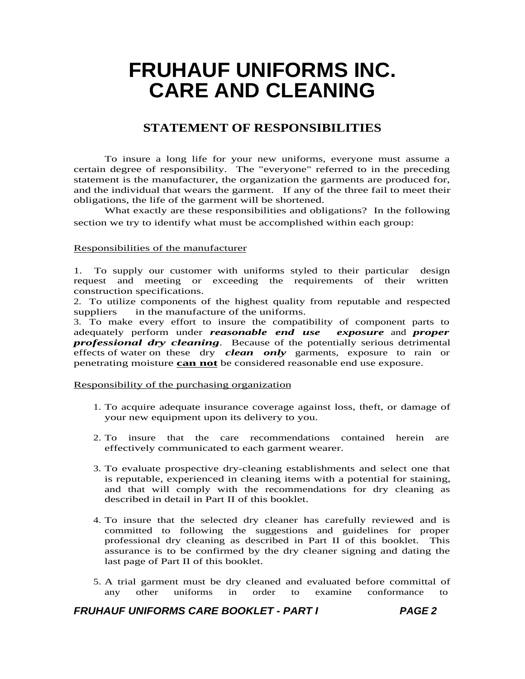### **STATEMENT OF RESPONSIBILITIES**

To insure a long life for your new uniforms, everyone must assume a certain degree of responsibility. The "everyone" referred to in the preceding statement is the manufacturer, the organization the garments are produced for, and the individual that wears the garment. If any of the three fail to meet their obligations, the life of the garment will be shortened.

What exactly are these responsibilities and obligations? In the following section we try to identify what must be accomplished within each group:

#### Responsibilities of the manufacturer

1. To supply our customer with uniforms styled to their particular design request and meeting or exceeding the requirements of their written construction specifications.

2. To utilize components of the highest quality from reputable and respected in the manufacture of the uniforms.

3. To make every effort to insure the compatibility of component parts to adequately perform under *reasonable end use exposure* and *proper professional dry cleaning*. Because of the potentially serious detrimental effects of water on these dry *clean only* garments, exposure to rain or penetrating moisture **can not** be considered reasonable end use exposure.

Responsibility of the purchasing organization

- 1. To acquire adequate insurance coverage against loss, theft, or damage of your new equipment upon its delivery to you.
- 2. To insure that the care recommendations contained herein are effectively communicated to each garment wearer.
- 3. To evaluate prospective dry-cleaning establishments and select one that is reputable, experienced in cleaning items with a potential for staining, and that will comply with the recommendations for dry cleaning as described in detail in Part II of this booklet.
- 4. To insure that the selected dry cleaner has carefully reviewed and is committed to following the suggestions and guidelines for proper professional dry cleaning as described in Part II of this booklet. This assurance is to be confirmed by the dry cleaner signing and dating the last page of Part II of this booklet.
- 5. A trial garment must be dry cleaned and evaluated before committal of any other uniforms in order to examine conformance to any other uniforms in order to examine conformance to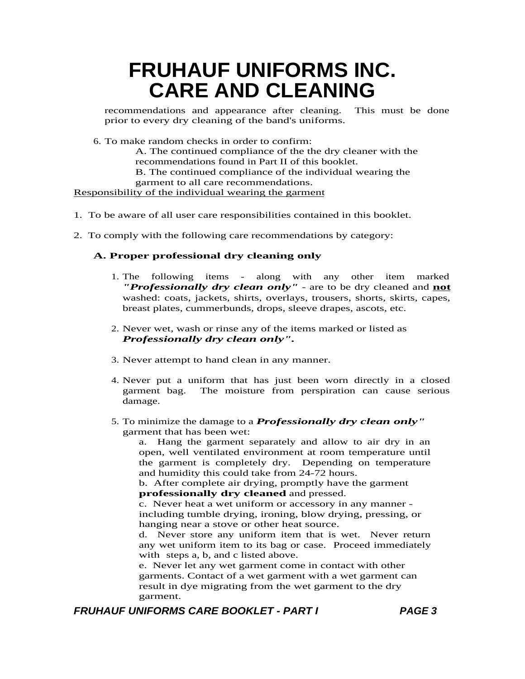recommendations and appearance after cleaning. This must be done prior to every dry cleaning of the band's uniforms.

6. To make random checks in order to confirm:

A. The continued compliance of the the dry cleaner with the recommendations found in Part II of this booklet. B. The continued compliance of the individual wearing the

garment to all care recommendations.

Responsibility of the individual wearing the garment

- 1. To be aware of all user care responsibilities contained in this booklet.
- 2. To comply with the following care recommendations by category:

#### **A. Proper professional dry cleaning only**

- 1. The following items along with any other item marked *"Professionally dry clean only"* - are to be dry cleaned and **not** washed: coats, jackets, shirts, overlays, trousers, shorts, skirts, capes, breast plates, cummerbunds, drops, sleeve drapes, ascots, etc.
- 2. Never wet, wash or rinse any of the items marked or listed as *Professionally dry clean only".*
- 3. Never attempt to hand clean in any manner.
- 4. Never put a uniform that has just been worn directly in a closed garment bag. The moisture from perspiration can cause serious damage.
- 5. To minimize the damage to a *Professionally dry clean only"*  garment that has been wet:

a. Hang the garment separately and allow to air dry in an open, well ventilated environment at room temperature until the garment is completely dry. Depending on temperature and humidity this could take from 24-72 hours.

b. After complete air drying, promptly have the garment **professionally dry cleaned** and pressed.

c. Never heat a wet uniform or accessory in any manner including tumble drying, ironing, blow drying, pressing, or hanging near a stove or other heat source.

d. Never store any uniform item that is wet. Never return any wet uniform item to its bag or case. Proceed immediately with steps a, b, and c listed above.

e. Never let any wet garment come in contact with other garments. Contact of a wet garment with a wet garment can result in dye migrating from the wet garment to the dry garment.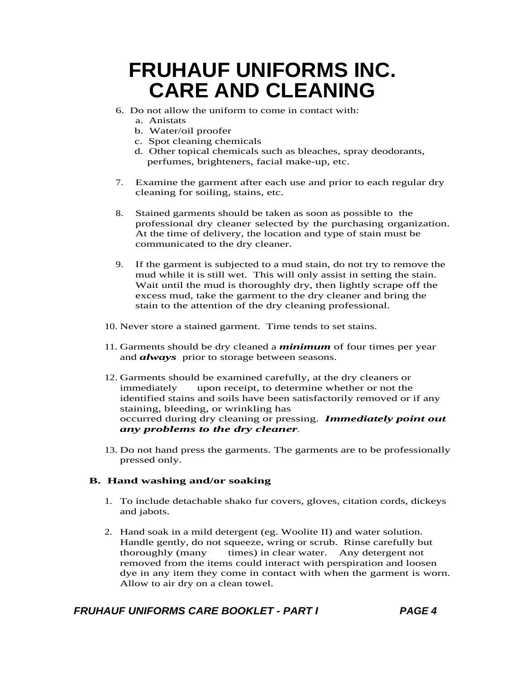- 6. Do not allow the uniform to come in contact with:
	- a. Anistats
	- b. Water/oil proofer
	- c. Spot cleaning chemicals
	- d. Other topical chemicals such as bleaches, spray deodorants, perfumes, brighteners, facial make-up, etc.
- 7. Examine the garment after each use and prior to each regular dry cleaning for soiling, stains, etc.
- 8. Stained garments should be taken as soon as possible to the professional dry cleaner selected by the purchasing organization. At the time of delivery, the location and type of stain must be communicated to the dry cleaner.
- 9. If the garment is subjected to a mud stain, do not try to remove the mud while it is still wet. This will only assist in setting the stain. Wait until the mud is thoroughly dry, then lightly scrape off the excess mud, take the garment to the dry cleaner and bring the stain to the attention of the dry cleaning professional.
- 10. Never store a stained garment. Time tends to set stains.
- 11. Garments should be dry cleaned a *minimum* of four times per year and *always* prior to storage between seasons.
- 12. Garments should be examined carefully, at the dry cleaners or immediately upon receipt, to determine whether or not the identified stains and soils have been satisfactorily removed or if any staining, bleeding, or wrinkling has occurred during dry cleaning or pressing. *Immediately point out any problems to the dry cleaner.*
- 13. Do not hand press the garments. The garments are to be professionally pressed only.

#### **B. Hand washing and/or soaking**

- 1. To include detachable shako fur covers, gloves, citation cords, dickeys and jabots.
- 2. Hand soak in a mild detergent (eg. Woolite II) and water solution. Handle gently, do not squeeze, wring or scrub. Rinse carefully but<br>thoroughly (many times) in clear water. Any detergent not times) in clear water. Any detergent not removed from the items could interact with perspiration and loosen dye in any item they come in contact with when the garment is worn. Allow to air dry on a clean towel.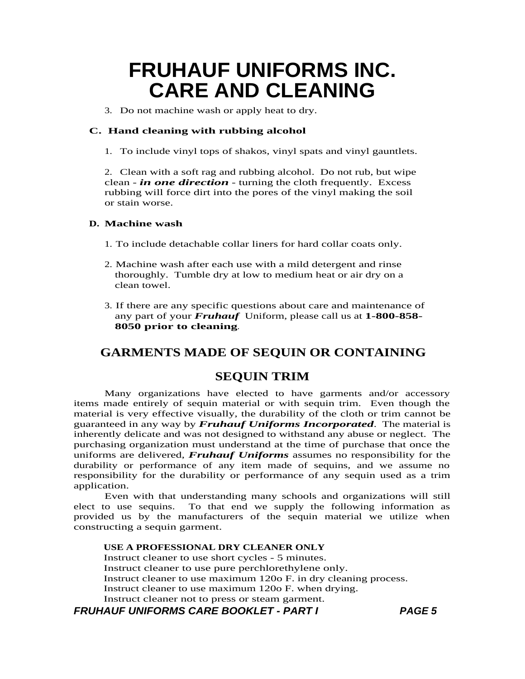3. Do not machine wash or apply heat to dry.

#### **C. Hand cleaning with rubbing alcohol**

1. To include vinyl tops of shakos, vinyl spats and vinyl gauntlets.

2. Clean with a soft rag and rubbing alcohol. Do not rub, but wipe clean - *in one direction* - turning the cloth frequently. Excess rubbing will force dirt into the pores of the vinyl making the soil or stain worse.

#### **D. Machine wash**

- 1. To include detachable collar liners for hard collar coats only.
- 2. Machine wash after each use with a mild detergent and rinse thoroughly. Tumble dry at low to medium heat or air dry on a clean towel.
- 3. If there are any specific questions about care and maintenance of any part of your *Fruhauf* Uniform, please call us at **1-800-858- 8050 prior to cleaning**.

### **GARMENTS MADE OF SEQUIN OR CONTAINING**

#### **SEQUIN TRIM**

Many organizations have elected to have garments and/or accessory items made entirely of sequin material or with sequin trim. Even though the material is very effective visually, the durability of the cloth or trim cannot be guaranteed in any way by *Fruhauf Uniforms Incorporated*. The material is inherently delicate and was not designed to withstand any abuse or neglect. The purchasing organization must understand at the time of purchase that once the uniforms are delivered, *Fruhauf Uniforms* assumes no responsibility for the durability or performance of any item made of sequins, and we assume no responsibility for the durability or performance of any sequin used as a trim application.

Even with that understanding many schools and organizations will still elect to use sequins. To that end we supply the following information as provided us by the manufacturers of the sequin material we utilize when constructing a sequin garment.

#### **USE A PROFESSIONAL DRY CLEANER ONLY**

Instruct cleaner to use short cycles - 5 minutes. Instruct cleaner to use pure perchlorethylene only. Instruct cleaner to use maximum 120o F. in dry cleaning process. Instruct cleaner to use maximum 120o F. when drying. Instruct cleaner not to press or steam garment.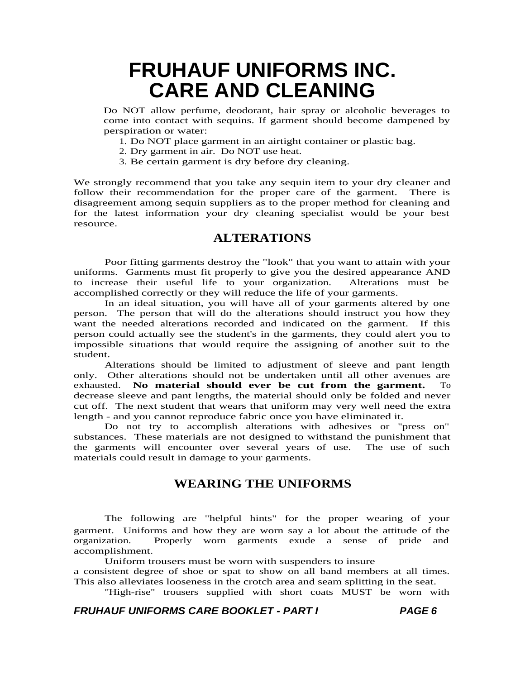Do NOT allow perfume, deodorant, hair spray or alcoholic beverages to come into contact with sequins. If garment should become dampened by perspiration or water:

- 1. Do NOT place garment in an airtight container or plastic bag.
- 2. Dry garment in air. Do NOT use heat.
- 3. Be certain garment is dry before dry cleaning.

We strongly recommend that you take any sequin item to your dry cleaner and follow their recommendation for the proper care of the garment. There is disagreement among sequin suppliers as to the proper method for cleaning and for the latest information your dry cleaning specialist would be your best resource.

### **ALTERATIONS**

Poor fitting garments destroy the "look" that you want to attain with your uniforms. Garments must fit properly to give you the desired appearance AND to increase their useful life to your organization. Alterations must be accomplished correctly or they will reduce the life of your garments.

In an ideal situation, you will have all of your garments altered by one person. The person that will do the alterations should instruct you how they want the needed alterations recorded and indicated on the garment. If this person could actually see the student's in the garments, they could alert you to impossible situations that would require the assigning of another suit to the student.

Alterations should be limited to adjustment of sleeve and pant length only. Other alterations should not be undertaken until all other avenues are exhausted. No material should ever be cut from the garment. To No material should ever be cut from the garment. To decrease sleeve and pant lengths, the material should only be folded and never cut off. The next student that wears that uniform may very well need the extra length - and you cannot reproduce fabric once you have eliminated it.

Do not try to accomplish alterations with adhesives or "press on" substances. These materials are not designed to withstand the punishment that the garments will encounter over several years of use. The use of such the garments will encounter over several years of use. materials could result in damage to your garments.

### **WEARING THE UNIFORMS**

The following are "helpful hints" for the proper wearing of your garment. Uniforms and how they are worn say a lot about the attitude of the organization. Properly worn garments exude a sense of pride and accomplishment.

Uniform trousers must be worn with suspenders to insure

a consistent degree of shoe or spat to show on all band members at all times. This also alleviates looseness in the crotch area and seam splitting in the seat.

"High-rise" trousers supplied with short coats MUST be worn with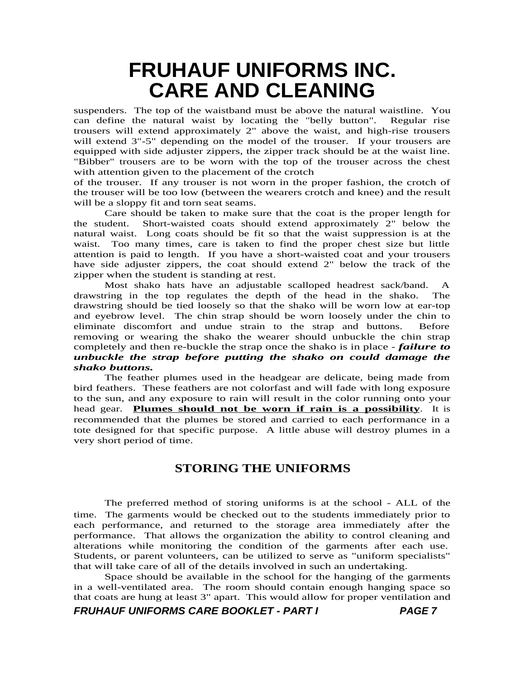suspenders. The top of the waistband must be above the natural waistline. You can define the natural waist by locating the "belly button". Regular rise trousers will extend approximately 2" above the waist, and high-rise trousers will extend  $3"$ -5" depending on the model of the trouser. If your trousers are equipped with side adjuster zippers, the zipper track should be at the waist line. "Bibber" trousers are to be worn with the top of the trouser across the chest with attention given to the placement of the crotch

of the trouser. If any trouser is not worn in the proper fashion, the crotch of the trouser will be too low (between the wearers crotch and knee) and the result will be a sloppy fit and torn seat seams.

Care should be taken to make sure that the coat is the proper length for the student. Short-waisted coats should extend approximately 2" below the natural waist. Long coats should be fit so that the waist suppression is at the waist. Too many times, care is taken to find the proper chest size but little attention is paid to length. If you have a short-waisted coat and your trousers have side adjuster zippers, the coat should extend 2" below the track of the zipper when the student is standing at rest.

Most shako hats have an adjustable scalloped headrest sack/band. A drawstring in the top regulates the depth of the head in the shako. The drawstring should be tied loosely so that the shako will be worn low at ear-top and eyebrow level. The chin strap should be worn loosely under the chin to eliminate discomfort and undue strain to the strap and buttons. Before removing or wearing the shako the wearer should unbuckle the chin strap completely and then re-buckle the strap once the shako is in place - *failure to unbuckle the strap before putting the shako on could damage the shako buttons.* 

The feather plumes used in the headgear are delicate, being made from bird feathers. These feathers are not colorfast and will fade with long exposure to the sun, and any exposure to rain will result in the color running onto your head gear. **Plumes should not be worn if rain is a possibility**. It is recommended that the plumes be stored and carried to each performance in a tote designed for that specific purpose. A little abuse will destroy plumes in a very short period of time.

### **STORING THE UNIFORMS**

The preferred method of storing uniforms is at the school - ALL of the time. The garments would be checked out to the students immediately prior to each performance, and returned to the storage area immediately after the performance. That allows the organization the ability to control cleaning and alterations while monitoring the condition of the garments after each use. Students, or parent volunteers, can be utilized to serve as "uniform specialists" that will take care of all of the details involved in such an undertaking.

Space should be available in the school for the hanging of the garments in a well-ventilated area. The room should contain enough hanging space so that coats are hung at least 3" apart. This would allow for proper ventilation and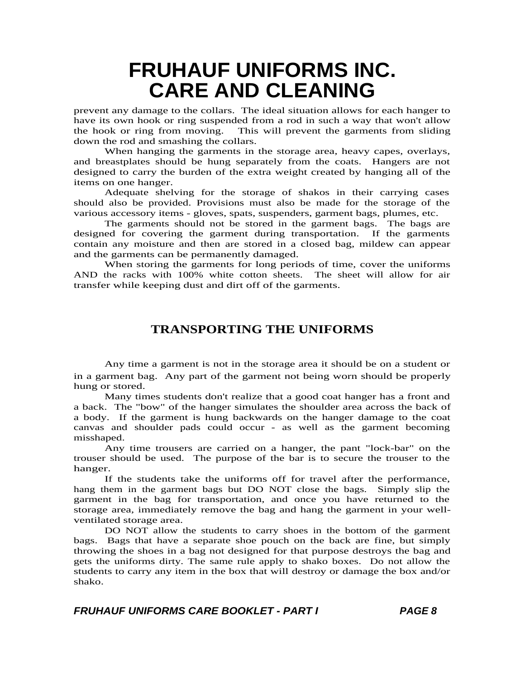prevent any damage to the collars. The ideal situation allows for each hanger to have its own hook or ring suspended from a rod in such a way that won't allow the hook or ring from moving. This will prevent the garments from sliding down the rod and smashing the collars.

When hanging the garments in the storage area, heavy capes, overlays, and breastplates should be hung separately from the coats. Hangers are not designed to carry the burden of the extra weight created by hanging all of the items on one hanger.

Adequate shelving for the storage of shakos in their carrying cases should also be provided. Provisions must also be made for the storage of the various accessory items - gloves, spats, suspenders, garment bags, plumes, etc.

The garments should not be stored in the garment bags. The bags are designed for covering the garment during transportation. If the garments contain any moisture and then are stored in a closed bag, mildew can appear and the garments can be permanently damaged.

When storing the garments for long periods of time, cover the uniforms AND the racks with 100% white cotton sheets. The sheet will allow for air transfer while keeping dust and dirt off of the garments.

### **TRANSPORTING THE UNIFORMS**

Any time a garment is not in the storage area it should be on a student or in a garment bag. Any part of the garment not being worn should be properly hung or stored.

Many times students don't realize that a good coat hanger has a front and a back. The "bow" of the hanger simulates the shoulder area across the back of a body. If the garment is hung backwards on the hanger damage to the coat canvas and shoulder pads could occur - as well as the garment becoming misshaped.

Any time trousers are carried on a hanger, the pant "lock-bar" on the trouser should be used. The purpose of the bar is to secure the trouser to the hanger.

If the students take the uniforms off for travel after the performance, hang them in the garment bags but DO NOT close the bags. Simply slip the garment in the bag for transportation, and once you have returned to the storage area, immediately remove the bag and hang the garment in your wellventilated storage area.

DO NOT allow the students to carry shoes in the bottom of the garment bags. Bags that have a separate shoe pouch on the back are fine, but simply throwing the shoes in a bag not designed for that purpose destroys the bag and gets the uniforms dirty. The same rule apply to shako boxes. Do not allow the students to carry any item in the box that will destroy or damage the box and/or shako.